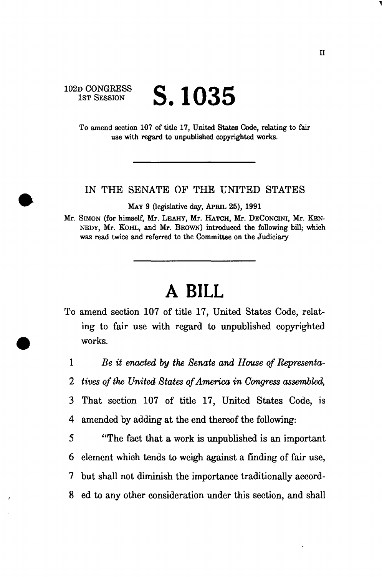## 102D CONGRESS 1ST SESSION **S. 1035**

To amend section 107 of title 17, United States Code, relating to fair use with regard to unpublished copyrighted works.

IN THE SENATE OF THE UNITED STATES

MAY 9 (legislative day, APRIL 25), 1991

Mr. SIMON (for himself, Mr. LEAHY, Mr. HATCH, Mr. DECONCINI, Mr. KEN-NEDY, Mr. KOHL, and Mr. BROWN) introduced the following bill; which was read twice and referred to the Committee on the Judiciary

## **A BILL**

- To amend section 107 of title 17, United States Code, relating to fair use with regard to unpublished copyrighted works.
	- 1 *Be it enacted by the Senate and House of Representa-*
	- *2 tives of the United States of America in Congress assembled,*
	- 3 That section 107 of title 17, United States Code, is 4 amended by adding at the end thereof the following:

5 "The fact that a work is unpublished is an important 6 element which tends to weigh against a finding of fair use, 7 but shall not diminish the importance traditionally accord-8 ed to any other consideration under this section, and shall